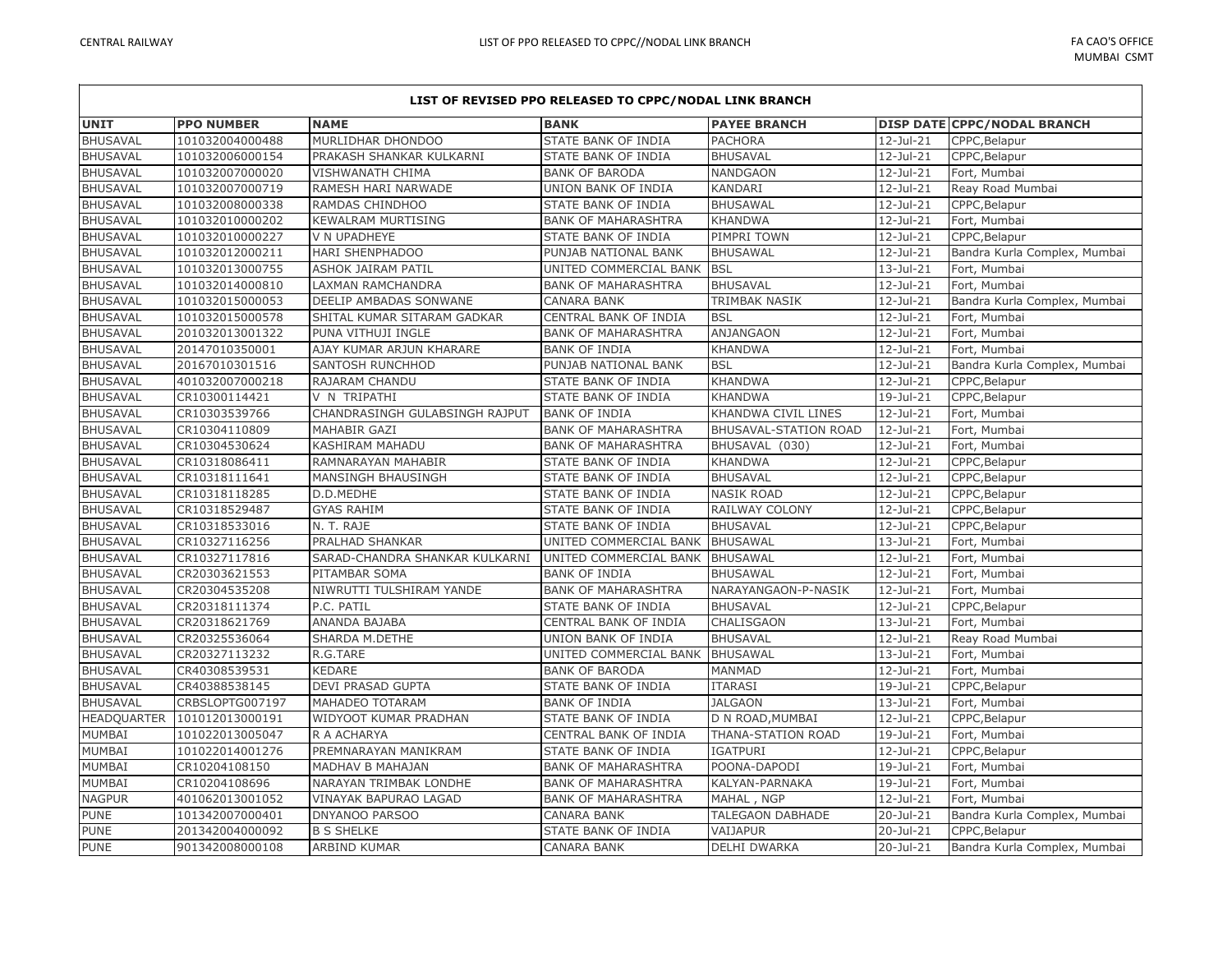L

| LIST OF REVISED PPO RELEASED TO CPPC/NODAL LINK BRANCH |                   |                                |                            |                       |              |                                    |  |
|--------------------------------------------------------|-------------------|--------------------------------|----------------------------|-----------------------|--------------|------------------------------------|--|
| <b>UNIT</b>                                            | <b>PPO NUMBER</b> | <b>NAME</b>                    | <b>BANK</b>                | <b>PAYEE BRANCH</b>   |              | <b>DISP DATE CPPC/NODAL BRANCH</b> |  |
| <b>BHUSAVAL</b>                                        | 101032004000488   | MURLIDHAR DHONDOO              | STATE BANK OF INDIA        | <b>PACHORA</b>        | 12-Jul-21    | CPPC, Belapur                      |  |
| <b>BHUSAVAL</b>                                        | 101032006000154   | PRAKASH SHANKAR KULKARNI       | STATE BANK OF INDIA        | <b>BHUSAVAL</b>       | 12-Jul-21    | CPPC, Belapur                      |  |
| <b>BHUSAVAL</b>                                        | 101032007000020   | VISHWANATH CHIMA               | <b>BANK OF BARODA</b>      | NANDGAON              | 12-Jul-21    | Fort, Mumbai                       |  |
| <b>BHUSAVAL</b>                                        | 101032007000719   | RAMESH HARI NARWADE            | UNION BANK OF INDIA        | KANDARI               | 12-Jul-21    | Reay Road Mumbai                   |  |
| <b>BHUSAVAL</b>                                        | 101032008000338   | RAMDAS CHINDHOO                | STATE BANK OF INDIA        | <b>BHUSAWAL</b>       | 12-Jul-21    | CPPC, Belapur                      |  |
| <b>BHUSAVAL</b>                                        | 101032010000202   | <b>KEWALRAM MURTISING</b>      | <b>BANK OF MAHARASHTRA</b> | <b>KHANDWA</b>        | 12-Jul-21    | Fort, Mumbai                       |  |
| <b>BHUSAVAL</b>                                        | 101032010000227   | V N UPADHEYE                   | STATE BANK OF INDIA        | PIMPRI TOWN           | 12-Jul-21    | CPPC, Belapur                      |  |
| <b>BHUSAVAL</b>                                        | 101032012000211   | <b>HARI SHENPHADOO</b>         | PUNJAB NATIONAL BANK       | <b>BHUSAWAL</b>       | 12-Jul-21    | Bandra Kurla Complex, Mumbai       |  |
| <b>BHUSAVAL</b>                                        | 101032013000755   | ASHOK JAIRAM PATIL             | UNITED COMMERCIAL BANK     | <b>BSL</b>            | 13-Jul-21    | Fort, Mumbai                       |  |
| <b>BHUSAVAL</b>                                        | 101032014000810   | LAXMAN RAMCHANDRA              | <b>BANK OF MAHARASHTRA</b> | <b>BHUSAVAL</b>       | 12-Jul-21    | Fort, Mumbai                       |  |
| <b>BHUSAVAL</b>                                        | 101032015000053   | DEELIP AMBADAS SONWANE         | <b>CANARA BANK</b>         | TRIMBAK NASIK         | 12-Jul-21    | Bandra Kurla Complex, Mumbai       |  |
| <b>BHUSAVAL</b>                                        | 101032015000578   | SHITAL KUMAR SITARAM GADKAR    | CENTRAL BANK OF INDIA      | <b>BSL</b>            | 12-Jul-21    | Fort, Mumbai                       |  |
| <b>BHUSAVAL</b>                                        | 201032013001322   | PUNA VITHUJI INGLE             | <b>BANK OF MAHARASHTRA</b> | ANJANGAON             | 12-Jul-21    | Fort, Mumbai                       |  |
| <b>BHUSAVAL</b>                                        | 20147010350001    | AJAY KUMAR ARJUN KHARARE       | <b>BANK OF INDIA</b>       | <b>KHANDWA</b>        | 12-Jul-21    | Fort, Mumbai                       |  |
| <b>BHUSAVAL</b>                                        | 20167010301516    | SANTOSH RUNCHHOD               | PUNJAB NATIONAL BANK       | <b>BSL</b>            | 12-Jul-21    | Bandra Kurla Complex, Mumbai       |  |
| <b>BHUSAVAL</b>                                        | 401032007000218   | RAJARAM CHANDU                 | STATE BANK OF INDIA        | <b>KHANDWA</b>        | 12-Jul-21    | CPPC, Belapur                      |  |
| <b>BHUSAVAL</b>                                        | CR10300114421     | V N TRIPATHI                   | STATE BANK OF INDIA        | <b>KHANDWA</b>        | 19-Jul-21    | CPPC, Belapur                      |  |
| <b>BHUSAVAL</b>                                        | CR10303539766     | CHANDRASINGH GULABSINGH RAJPUT | <b>BANK OF INDIA</b>       | KHANDWA CIVIL LINES   | 12-Jul-21    | Fort, Mumbai                       |  |
| <b>BHUSAVAL</b>                                        | CR10304110809     | <b>MAHABIR GAZI</b>            | <b>BANK OF MAHARASHTRA</b> | BHUSAVAL-STATION ROAD | $12$ -Jul-21 | Fort, Mumbai                       |  |
| <b>BHUSAVAL</b>                                        | CR10304530624     | KASHIRAM MAHADU                | <b>BANK OF MAHARASHTRA</b> | BHUSAVAL (030)        | 12-Jul-21    | Fort, Mumbai                       |  |
| <b>BHUSAVAL</b>                                        | CR10318086411     | RAMNARAYAN MAHABIR             | STATE BANK OF INDIA        | <b>KHANDWA</b>        | 12-Jul-21    | CPPC, Belapur                      |  |
| <b>BHUSAVAL</b>                                        | CR10318111641     | MANSINGH BHAUSINGH             | STATE BANK OF INDIA        | <b>BHUSAVAL</b>       | 12-Jul-21    | CPPC, Belapur                      |  |
| <b>BHUSAVAL</b>                                        | CR10318118285     | D.D.MEDHE                      | STATE BANK OF INDIA        | <b>NASIK ROAD</b>     | 12-Jul-21    | CPPC, Belapur                      |  |
| <b>BHUSAVAL</b>                                        | CR10318529487     | <b>GYAS RAHIM</b>              | STATE BANK OF INDIA        | RAILWAY COLONY        | 12-Jul-21    | CPPC, Belapur                      |  |
| <b>BHUSAVAL</b>                                        | CR10318533016     | N. T. RAJE                     | STATE BANK OF INDIA        | <b>BHUSAVAL</b>       | 12-Jul-21    | CPPC, Belapur                      |  |
| <b>BHUSAVAL</b>                                        | CR10327116256     | PRALHAD SHANKAR                | UNITED COMMERCIAL BANK     | <b>BHUSAWAL</b>       | 13-Jul-21    | Fort, Mumbai                       |  |
| <b>BHUSAVAL</b>                                        | CR10327117816     | SARAD-CHANDRA SHANKAR KULKARNI | UNITED COMMERCIAL BANK     | <b>BHUSAWAL</b>       | 12-Jul-21    | Fort, Mumbai                       |  |
| <b>BHUSAVAL</b>                                        | CR20303621553     | PITAMBAR SOMA                  | <b>BANK OF INDIA</b>       | <b>BHUSAWAL</b>       | 12-Jul-21    | Fort, Mumbai                       |  |
| <b>BHUSAVAL</b>                                        | CR20304535208     | NIWRUTTI TULSHIRAM YANDE       | <b>BANK OF MAHARASHTRA</b> | NARAYANGAON-P-NASIK   | 12-Jul-21    | Fort, Mumbai                       |  |
| <b>BHUSAVAL</b>                                        | CR20318111374     | P.C. PATIL                     | STATE BANK OF INDIA        | <b>BHUSAVAL</b>       | 12-Jul-21    | CPPC, Belapur                      |  |
| <b>BHUSAVAL</b>                                        | CR20318621769     | ANANDA BAJABA                  | CENTRAL BANK OF INDIA      | CHALISGAON            | 13-Jul-21    | Fort, Mumbai                       |  |
| <b>BHUSAVAL</b>                                        | CR20325536064     | SHARDA M.DETHE                 | UNION BANK OF INDIA        | <b>BHUSAVAL</b>       | 12-Jul-21    | Reay Road Mumbai                   |  |
| <b>BHUSAVAL</b>                                        | CR20327113232     | R.G.TARE                       | UNITED COMMERCIAL BANK     | <b>BHUSAWAL</b>       | 13-Jul-21    | Fort, Mumbai                       |  |
| <b>BHUSAVAL</b>                                        | CR40308539531     | <b>KEDARE</b>                  | <b>BANK OF BARODA</b>      | <b>MANMAD</b>         | 12-Jul-21    | Fort, Mumbai                       |  |
| <b>BHUSAVAL</b>                                        | CR40388538145     | DEVI PRASAD GUPTA              | STATE BANK OF INDIA        | <b>ITARASI</b>        | 19-Jul-21    | CPPC, Belapur                      |  |
| <b>BHUSAVAL</b>                                        | CRBSLOPTG007197   | MAHADEO TOTARAM                | <b>BANK OF INDIA</b>       | <b>JALGAON</b>        | 13-Jul-21    | Fort, Mumbai                       |  |
| <b>HEADQUARTER</b>                                     | 101012013000191   | WIDYOOT KUMAR PRADHAN          | STATE BANK OF INDIA        | D N ROAD, MUMBAI      | 12-Jul-21    | CPPC, Belapur                      |  |
| MUMBAI                                                 | 101022013005047   | R A ACHARYA                    | CENTRAL BANK OF INDIA      | THANA-STATION ROAD    | 19-Jul-21    | Fort, Mumbai                       |  |
| MUMBAI                                                 | 101022014001276   | PREMNARAYAN MANIKRAM           | STATE BANK OF INDIA        | <b>IGATPURI</b>       | 12-Jul-21    | CPPC, Belapur                      |  |
| MUMBAI                                                 | CR10204108150     | MADHAV B MAHAJAN               | <b>BANK OF MAHARASHTRA</b> | POONA-DAPODI          | 19-Jul-21    | Fort, Mumbai                       |  |
| MUMBAI                                                 | CR10204108696     | NARAYAN TRIMBAK LONDHE         | <b>BANK OF MAHARASHTRA</b> | KALYAN-PARNAKA        | 19-Jul-21    | Fort, Mumbai                       |  |
| <b>NAGPUR</b>                                          | 401062013001052   | VINAYAK BAPURAO LAGAD          | <b>BANK OF MAHARASHTRA</b> | MAHAL, NGP            | 12-Jul-21    | Fort, Mumbai                       |  |
| <b>PUNE</b>                                            | 101342007000401   | DNYANOO PARSOO                 | <b>CANARA BANK</b>         | TALEGAON DABHADE      | 20-Jul-21    | Bandra Kurla Complex, Mumbai       |  |
| <b>PUNE</b>                                            | 201342004000092   | <b>B S SHELKE</b>              | STATE BANK OF INDIA        | VAIJAPUR              | 20-Jul-21    | CPPC, Belapur                      |  |
| <b>PUNE</b>                                            | 901342008000108   | ARBIND KUMAR                   | <b>CANARA BANK</b>         | <b>DELHI DWARKA</b>   | 20-Jul-21    | Bandra Kurla Complex, Mumbai       |  |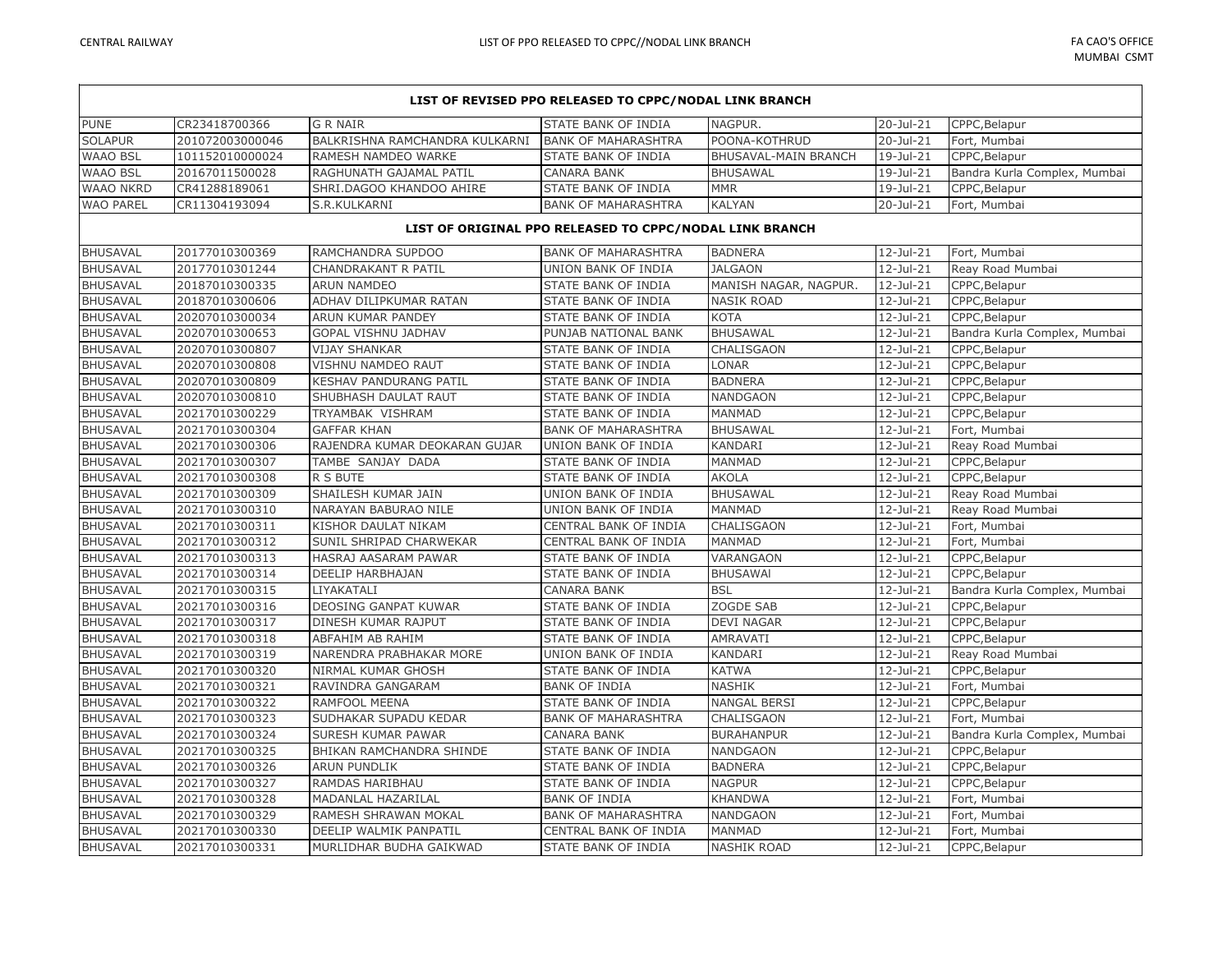| LIST OF REVISED PPO RELEASED TO CPPC/NODAL LINK BRANCH |                 |                                |                                                         |                       |                         |                              |
|--------------------------------------------------------|-----------------|--------------------------------|---------------------------------------------------------|-----------------------|-------------------------|------------------------------|
| PUNE                                                   | CR23418700366   | <b>G R NAIR</b>                | <b>STATE BANK OF INDIA</b>                              | NAGPUR.               | 20-Jul-21               | CPPC, Belapur                |
| <b>SOLAPUR</b>                                         | 201072003000046 | BALKRISHNA RAMCHANDRA KULKARNI | <b>BANK OF MAHARASHTRA</b>                              | POONA-KOTHRUD         | 20-Jul-21               | Fort, Mumbai                 |
| <b>WAAO BSL</b>                                        | 101152010000024 | RAMESH NAMDEO WARKE            | STATE BANK OF INDIA                                     | BHUSAVAL-MAIN BRANCH  | 19-Jul-21               | CPPC, Belapur                |
| <b>WAAO BSL</b>                                        | 20167011500028  | RAGHUNATH GAJAMAL PATIL        | <b>CANARA BANK</b>                                      | <b>BHUSAWAL</b>       | 19-Jul-21               | Bandra Kurla Complex, Mumbai |
| <b>WAAO NKRD</b>                                       | CR41288189061   | SHRI.DAGOO KHANDOO AHIRE       | STATE BANK OF INDIA                                     | <b>MMR</b>            | 19-Jul-21               | CPPC, Belapur                |
| <b>WAO PAREL</b>                                       | CR11304193094   | S.R.KULKARNI                   | <b>BANK OF MAHARASHTRA</b>                              | <b>KALYAN</b>         | 20-Jul-21               | Fort, Mumbai                 |
|                                                        |                 |                                | LIST OF ORIGINAL PPO RELEASED TO CPPC/NODAL LINK BRANCH |                       |                         |                              |
| <b>BHUSAVAL</b>                                        | 20177010300369  | RAMCHANDRA SUPDOO              | <b>BANK OF MAHARASHTRA</b>                              | <b>BADNERA</b>        | 12-Jul-21               | Fort, Mumbai                 |
| <b>BHUSAVAL</b>                                        | 20177010301244  | CHANDRAKANT R PATIL            | UNION BANK OF INDIA                                     | <b>JALGAON</b>        | $12$ -Jul-21            | Reay Road Mumbai             |
| <b>BHUSAVAL</b>                                        | 20187010300335  | <b>ARUN NAMDEO</b>             | STATE BANK OF INDIA                                     | MANISH NAGAR, NAGPUR. | 12-Jul-21               | CPPC, Belapur                |
| <b>BHUSAVAL</b>                                        | 20187010300606  | ADHAV DILIPKUMAR RATAN         | <b>STATE BANK OF INDIA</b>                              | <b>NASIK ROAD</b>     | 12-Jul-21               | CPPC, Belapur                |
| <b>BHUSAVAL</b>                                        | 20207010300034  | ARUN KUMAR PANDEY              | STATE BANK OF INDIA                                     | <b>KOTA</b>           | 12-Jul-21               | CPPC, Belapur                |
| <b>BHUSAVAL</b>                                        | 20207010300653  | <b>GOPAL VISHNU JADHAV</b>     | PUNJAB NATIONAL BANK                                    | <b>BHUSAWAL</b>       | 12-Jul-21               | Bandra Kurla Complex, Mumbai |
| <b>BHUSAVAL</b>                                        | 20207010300807  | <b>VIJAY SHANKAR</b>           | STATE BANK OF INDIA                                     | CHALISGAON            | 12-Jul-21               | CPPC, Belapur                |
| <b>BHUSAVAL</b>                                        | 20207010300808  | VISHNU NAMDEO RAUT             | STATE BANK OF INDIA                                     | LONAR                 | 12-Jul-21               | CPPC, Belapur                |
| <b>BHUSAVAL</b>                                        | 20207010300809  | KESHAV PANDURANG PATIL         | STATE BANK OF INDIA                                     | <b>BADNERA</b>        | $12$ -Jul-21            | CPPC, Belapur                |
| <b>BHUSAVAL</b>                                        | 20207010300810  | SHUBHASH DAULAT RAUT           | STATE BANK OF INDIA                                     | NANDGAON              | 12-Jul-21               | CPPC, Belapur                |
| <b>BHUSAVAL</b>                                        | 20217010300229  | TRYAMBAK VISHRAM               | STATE BANK OF INDIA                                     | MANMAD                | 12-Jul-21               | CPPC, Belapur                |
| <b>BHUSAVAL</b>                                        | 20217010300304  | <b>GAFFAR KHAN</b>             | <b>BANK OF MAHARASHTRA</b>                              | <b>BHUSAWAL</b>       | 12-Jul-21               | Fort, Mumbai                 |
| <b>BHUSAVAL</b>                                        | 20217010300306  | RAJENDRA KUMAR DEOKARAN GUJAR  | UNION BANK OF INDIA                                     | KANDARI               | 12-Jul-21               | Reay Road Mumbai             |
| <b>BHUSAVAL</b>                                        | 20217010300307  | TAMBE SANJAY DADA              | STATE BANK OF INDIA                                     | MANMAD                | 12-Jul-21               | CPPC, Belapur                |
| <b>BHUSAVAL</b>                                        | 20217010300308  | R S BUTE                       | STATE BANK OF INDIA                                     | AKOLA                 | 12-Jul-21               | CPPC, Belapur                |
| <b>BHUSAVAL</b>                                        | 20217010300309  | SHAILESH KUMAR JAIN            | UNION BANK OF INDIA                                     | <b>BHUSAWAL</b>       | 12-Jul-21               | Reay Road Mumbai             |
| <b>BHUSAVAL</b>                                        | 20217010300310  | NARAYAN BABURAO NILE           | UNION BANK OF INDIA                                     | <b>MANMAD</b>         | 12-Jul-21               | Reay Road Mumbai             |
| <b>BHUSAVAL</b>                                        | 20217010300311  | KISHOR DAULAT NIKAM            | CENTRAL BANK OF INDIA                                   | CHALISGAON            | 12-Jul-21               | Fort, Mumbai                 |
| <b>BHUSAVAL</b>                                        | 20217010300312  | SUNIL SHRIPAD CHARWEKAR        | CENTRAL BANK OF INDIA                                   | MANMAD                | 12-Jul-21               | Fort, Mumbai                 |
| <b>BHUSAVAL</b>                                        | 20217010300313  | HASRAJ AASARAM PAWAR           | STATE BANK OF INDIA                                     | VARANGAON             | 12-Jul-21               | CPPC, Belapur                |
| <b>BHUSAVAL</b>                                        | 20217010300314  | DEELIP HARBHAJAN               | STATE BANK OF INDIA                                     | <b>BHUSAWAI</b>       | 12-Jul-21               | CPPC, Belapur                |
| <b>BHUSAVAL</b>                                        | 20217010300315  | LIYAKATALI                     | <b>CANARA BANK</b>                                      | <b>BSL</b>            | 12-Jul-21               | Bandra Kurla Complex, Mumbai |
| <b>BHUSAVAL</b>                                        | 20217010300316  | DEOSING GANPAT KUWAR           | STATE BANK OF INDIA                                     | ZOGDE SAB             | 12-Jul-21               | CPPC, Belapur                |
| <b>BHUSAVAL</b>                                        | 20217010300317  | DINESH KUMAR RAJPUT            | <b>STATE BANK OF INDIA</b>                              | <b>DEVI NAGAR</b>     | 12-Jul-21               | CPPC, Belapur                |
| <b>BHUSAVAL</b>                                        | 20217010300318  | ABFAHIM AB RAHIM               | STATE BANK OF INDIA                                     | AMRAVATI              | 12-Jul-21               | CPPC, Belapur                |
| <b>BHUSAVAL</b>                                        | 20217010300319  | NARENDRA PRABHAKAR MORE        | UNION BANK OF INDIA                                     | KANDARI               | $\overline{1}$ 2-Jul-21 | Reay Road Mumbai             |
| <b>BHUSAVAL</b>                                        | 20217010300320  | NIRMAL KUMAR GHOSH             | STATE BANK OF INDIA                                     | KATWA                 | 12-Jul-21               | CPPC, Belapur                |
| <b>BHUSAVAL</b>                                        | 20217010300321  | RAVINDRA GANGARAM              | <b>BANK OF INDIA</b>                                    | <b>NASHIK</b>         | 12-Jul-21               | Fort, Mumbai                 |
| <b>BHUSAVAL</b>                                        | 20217010300322  | RAMFOOL MEENA                  | STATE BANK OF INDIA                                     | NANGAL BERSI          | 12-Jul-21               | CPPC, Belapur                |
| <b>BHUSAVAL</b>                                        | 20217010300323  | SUDHAKAR SUPADU KEDAR          | <b>BANK OF MAHARASHTRA</b>                              | CHALISGAON            | 12-Jul-21               | Fort, Mumbai                 |
| <b>BHUSAVAL</b>                                        | 20217010300324  | SURESH KUMAR PAWAR             | <b>CANARA BANK</b>                                      | <b>BURAHANPUR</b>     | 12-Jul-21               | Bandra Kurla Complex, Mumbai |
| <b>BHUSAVAL</b>                                        | 20217010300325  | BHIKAN RAMCHANDRA SHINDE       | STATE BANK OF INDIA                                     | <b>NANDGAON</b>       | 12-Jul-21               | CPPC, Belapur                |
| <b>BHUSAVAL</b>                                        | 20217010300326  | ARUN PUNDLIK                   | STATE BANK OF INDIA                                     | <b>BADNERA</b>        | 12-Jul-21               | CPPC, Belapur                |
| <b>BHUSAVAL</b>                                        | 20217010300327  | RAMDAS HARIBHAU                | STATE BANK OF INDIA                                     | <b>NAGPUR</b>         | 12-Jul-21               | CPPC, Belapur                |
| <b>BHUSAVAL</b>                                        | 20217010300328  | MADANLAL HAZARILAL             | <b>BANK OF INDIA</b>                                    | <b>KHANDWA</b>        | 12-Jul-21               | Fort, Mumbai                 |
| <b>BHUSAVAL</b>                                        | 20217010300329  | RAMESH SHRAWAN MOKAL           | <b>BANK OF MAHARASHTRA</b>                              | <b>NANDGAON</b>       | 12-Jul-21               | Fort, Mumbai                 |
| <b>BHUSAVAL</b>                                        | 20217010300330  | DEELIP WALMIK PANPATIL         | CENTRAL BANK OF INDIA                                   | <b>MANMAD</b>         | 12-Jul-21               | Fort, Mumbai                 |
| <b>BHUSAVAL</b>                                        | 20217010300331  | MURLIDHAR BUDHA GAIKWAD        | STATE BANK OF INDIA                                     | <b>NASHIK ROAD</b>    | 12-Jul-21               | CPPC, Belapur                |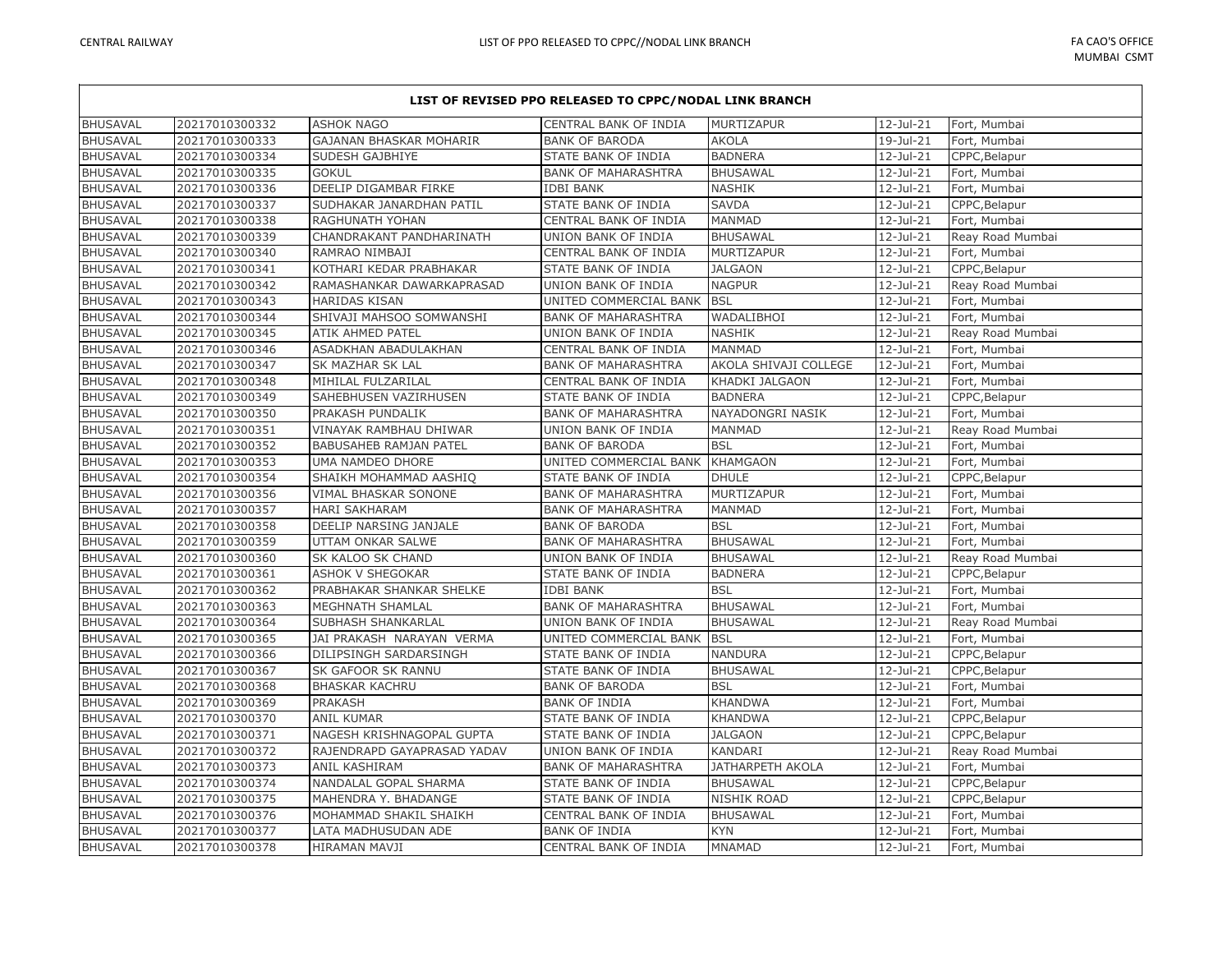| LIST OF REVISED PPO RELEASED TO CPPC/NODAL LINK BRANCH |                |                             |                            |                         |              |                  |
|--------------------------------------------------------|----------------|-----------------------------|----------------------------|-------------------------|--------------|------------------|
| <b>BHUSAVAL</b>                                        | 20217010300332 | <b>ASHOK NAGO</b>           | CENTRAL BANK OF INDIA      | MURTIZAPUR              | 12-Jul-21    | Fort, Mumbai     |
| <b>BHUSAVAL</b>                                        | 20217010300333 | GAJANAN BHASKAR MOHARIR     | <b>BANK OF BARODA</b>      | <b>AKOLA</b>            | 19-Jul-21    | Fort, Mumbai     |
| <b>BHUSAVAL</b>                                        | 20217010300334 | SUDESH GAJBHIYE             | STATE BANK OF INDIA        | <b>BADNERA</b>          | 12-Jul-21    | CPPC, Belapur    |
| <b>BHUSAVAL</b>                                        | 20217010300335 | <b>GOKUL</b>                | <b>BANK OF MAHARASHTRA</b> | <b>BHUSAWAL</b>         | 12-Jul-21    | Fort, Mumbai     |
| <b>BHUSAVAL</b>                                        | 20217010300336 | DEELIP DIGAMBAR FIRKE       | <b>IDBI BANK</b>           | <b>NASHIK</b>           | 12-Jul-21    | Fort, Mumbai     |
| <b>BHUSAVAL</b>                                        | 20217010300337 | SUDHAKAR JANARDHAN PATIL    | STATE BANK OF INDIA        | <b>SAVDA</b>            | 12-Jul-21    | CPPC, Belapur    |
| <b>BHUSAVAL</b>                                        | 20217010300338 | RAGHUNATH YOHAN             | CENTRAL BANK OF INDIA      | <b>MANMAD</b>           | $12$ -Jul-21 | Fort, Mumbai     |
| <b>BHUSAVAL</b>                                        | 20217010300339 | CHANDRAKANT PANDHARINATH    | UNION BANK OF INDIA        | <b>BHUSAWAL</b>         | 12-Jul-21    | Reay Road Mumbai |
| <b>BHUSAVAL</b>                                        | 20217010300340 | RAMRAO NIMBAJI              | CENTRAL BANK OF INDIA      | <b>MURTIZAPUR</b>       | 12-Jul-21    | Fort, Mumbai     |
| <b>BHUSAVAL</b>                                        | 20217010300341 | KOTHARI KEDAR PRABHAKAR     | STATE BANK OF INDIA        | <b>JALGAON</b>          | 12-Jul-21    | CPPC, Belapur    |
| <b>BHUSAVAL</b>                                        | 20217010300342 | RAMASHANKAR DAWARKAPRASAD   | UNION BANK OF INDIA        | <b>NAGPUR</b>           | 12-Jul-21    | Reay Road Mumbai |
| <b>BHUSAVAL</b>                                        | 20217010300343 | <b>HARIDAS KISAN</b>        | UNITED COMMERCIAL BANK     | <b>BSL</b>              | $12$ -Jul-21 | Fort, Mumbai     |
| <b>BHUSAVAL</b>                                        | 20217010300344 | SHIVAJI MAHSOO SOMWANSHI    | <b>BANK OF MAHARASHTRA</b> | WADALIBHOI              | 12-Jul-21    | Fort, Mumbai     |
| <b>BHUSAVAL</b>                                        | 20217010300345 | ATIK AHMED PATEL            | UNION BANK OF INDIA        | <b>NASHIK</b>           | 12-Jul-21    | Reay Road Mumbai |
| <b>BHUSAVAL</b>                                        | 20217010300346 | ASADKHAN ABADULAKHAN        | CENTRAL BANK OF INDIA      | <b>MANMAD</b>           | 12-Jul-21    | Fort, Mumbai     |
| <b>BHUSAVAL</b>                                        | 20217010300347 | SK MAZHAR SK LAL            | <b>BANK OF MAHARASHTRA</b> | AKOLA SHIVAJI COLLEGE   | 12-Jul-21    | Fort, Mumbai     |
| <b>BHUSAVAL</b>                                        | 20217010300348 | MIHILAL FULZARILAL          | CENTRAL BANK OF INDIA      | KHADKI JALGAON          | 12-Jul-21    | Fort, Mumbai     |
| <b>BHUSAVAL</b>                                        | 20217010300349 | SAHEBHUSEN VAZIRHUSEN       | STATE BANK OF INDIA        | <b>BADNERA</b>          | 12-Jul-21    | CPPC, Belapur    |
| <b>BHUSAVAL</b>                                        | 20217010300350 | PRAKASH PUNDALIK            | <b>BANK OF MAHARASHTRA</b> | NAYADONGRI NASIK        | $12$ -Jul-21 | Fort, Mumbai     |
| <b>BHUSAVAL</b>                                        | 20217010300351 | VINAYAK RAMBHAU DHIWAR      | UNION BANK OF INDIA        | <b>MANMAD</b>           | 12-Jul-21    | Reay Road Mumbai |
| <b>BHUSAVAL</b>                                        | 20217010300352 | BABUSAHEB RAMJAN PATEL      | <b>BANK OF BARODA</b>      | <b>BSL</b>              | 12-Jul-21    | Fort, Mumbai     |
| <b>BHUSAVAL</b>                                        | 20217010300353 | UMA NAMDEO DHORE            | UNITED COMMERCIAL BANK     | <b>KHAMGAON</b>         | 12-Jul-21    | Fort, Mumbai     |
| <b>BHUSAVAL</b>                                        | 20217010300354 | SHAIKH MOHAMMAD AASHIQ      | STATE BANK OF INDIA        | <b>DHULE</b>            | 12-Jul-21    | CPPC, Belapur    |
| <b>BHUSAVAL</b>                                        | 20217010300356 | VIMAL BHASKAR SONONE        | <b>BANK OF MAHARASHTRA</b> | MURTIZAPUR              | 12-Jul-21    | Fort, Mumbai     |
| <b>BHUSAVAL</b>                                        | 20217010300357 | <b>HARI SAKHARAM</b>        | <b>BANK OF MAHARASHTRA</b> | <b>MANMAD</b>           | $12$ -Jul-21 | Fort, Mumbai     |
| <b>BHUSAVAL</b>                                        | 20217010300358 | DEELIP NARSING JANJALE      | <b>BANK OF BARODA</b>      | <b>BSL</b>              | 12-Jul-21    | Fort, Mumbai     |
| <b>BHUSAVAL</b>                                        | 20217010300359 | UTTAM ONKAR SALWE           | <b>BANK OF MAHARASHTRA</b> | <b>BHUSAWAL</b>         | 12-Jul-21    | Fort, Mumbai     |
| <b>BHUSAVAL</b>                                        | 20217010300360 | SK KALOO SK CHAND           | UNION BANK OF INDIA        | <b>BHUSAWAL</b>         | 12-Jul-21    | Reay Road Mumbai |
| <b>BHUSAVAL</b>                                        | 20217010300361 | ASHOK V SHEGOKAR            | STATE BANK OF INDIA        | <b>BADNERA</b>          | $12$ -Jul-21 | CPPC, Belapur    |
| <b>BHUSAVAL</b>                                        | 20217010300362 | PRABHAKAR SHANKAR SHELKE    | <b>IDBI BANK</b>           | <b>BSL</b>              | 12-Jul-21    | Fort, Mumbai     |
| <b>BHUSAVAL</b>                                        | 20217010300363 | MEGHNATH SHAMLAL            | <b>BANK OF MAHARASHTRA</b> | <b>BHUSAWAL</b>         | $12$ -Jul-21 | Fort, Mumbai     |
| <b>BHUSAVAL</b>                                        | 20217010300364 | SUBHASH SHANKARLAL          | UNION BANK OF INDIA        | <b>BHUSAWAL</b>         | 12-Jul-21    | Reay Road Mumbai |
| <b>BHUSAVAL</b>                                        | 20217010300365 | JAI PRAKASH NARAYAN VERMA   | UNITED COMMERCIAL BANK     | <b>BSL</b>              | 12-Jul-21    | Fort, Mumbai     |
| <b>BHUSAVAL</b>                                        | 20217010300366 | DILIPSINGH SARDARSINGH      | STATE BANK OF INDIA        | <b>NANDURA</b>          | 12-Jul-21    | CPPC, Belapur    |
| <b>BHUSAVAL</b>                                        | 20217010300367 | SK GAFOOR SK RANNU          | STATE BANK OF INDIA        | <b>BHUSAWAL</b>         | 12-Jul-21    | CPPC, Belapur    |
| <b>BHUSAVAL</b>                                        | 20217010300368 | <b>BHASKAR KACHRU</b>       | <b>BANK OF BARODA</b>      | <b>BSL</b>              | 12-Jul-21    | Fort, Mumbai     |
| <b>BHUSAVAL</b>                                        | 20217010300369 | <b>PRAKASH</b>              | <b>BANK OF INDIA</b>       | <b>KHANDWA</b>          | 12-Jul-21    | Fort, Mumbai     |
| <b>BHUSAVAL</b>                                        | 20217010300370 | <b>ANIL KUMAR</b>           | STATE BANK OF INDIA        | <b>KHANDWA</b>          | $12$ -Jul-21 | CPPC, Belapur    |
| <b>BHUSAVAL</b>                                        | 20217010300371 | NAGESH KRISHNAGOPAL GUPTA   | STATE BANK OF INDIA        | <b>JALGAON</b>          | $12$ -Jul-21 | CPPC, Belapur    |
| <b>BHUSAVAL</b>                                        | 20217010300372 | RAJENDRAPD GAYAPRASAD YADAV | UNION BANK OF INDIA        | KANDARI                 | 12-Jul-21    | Reay Road Mumbai |
| <b>BHUSAVAL</b>                                        | 20217010300373 | ANIL KASHIRAM               | <b>BANK OF MAHARASHTRA</b> | <b>JATHARPETH AKOLA</b> | 12-Jul-21    | Fort, Mumbai     |
| <b>BHUSAVAL</b>                                        | 20217010300374 | NANDALAL GOPAL SHARMA       | STATE BANK OF INDIA        | <b>BHUSAWAL</b>         | 12-Jul-21    | CPPC, Belapur    |
| <b>BHUSAVAL</b>                                        | 20217010300375 | MAHENDRA Y. BHADANGE        | STATE BANK OF INDIA        | <b>NISHIK ROAD</b>      | 12-Jul-21    | CPPC, Belapur    |
| <b>BHUSAVAL</b>                                        | 20217010300376 | MOHAMMAD SHAKIL SHAIKH      | CENTRAL BANK OF INDIA      | <b>BHUSAWAL</b>         | 12-Jul-21    | Fort, Mumbai     |
| <b>BHUSAVAL</b>                                        | 20217010300377 | LATA MADHUSUDAN ADE         | <b>BANK OF INDIA</b>       | <b>KYN</b>              | $12$ -Jul-21 | Fort, Mumbai     |
| <b>BHUSAVAL</b>                                        | 20217010300378 | <b>HIRAMAN MAVJI</b>        | CENTRAL BANK OF INDIA      | <b>MNAMAD</b>           | $12$ -Jul-21 | Fort, Mumbai     |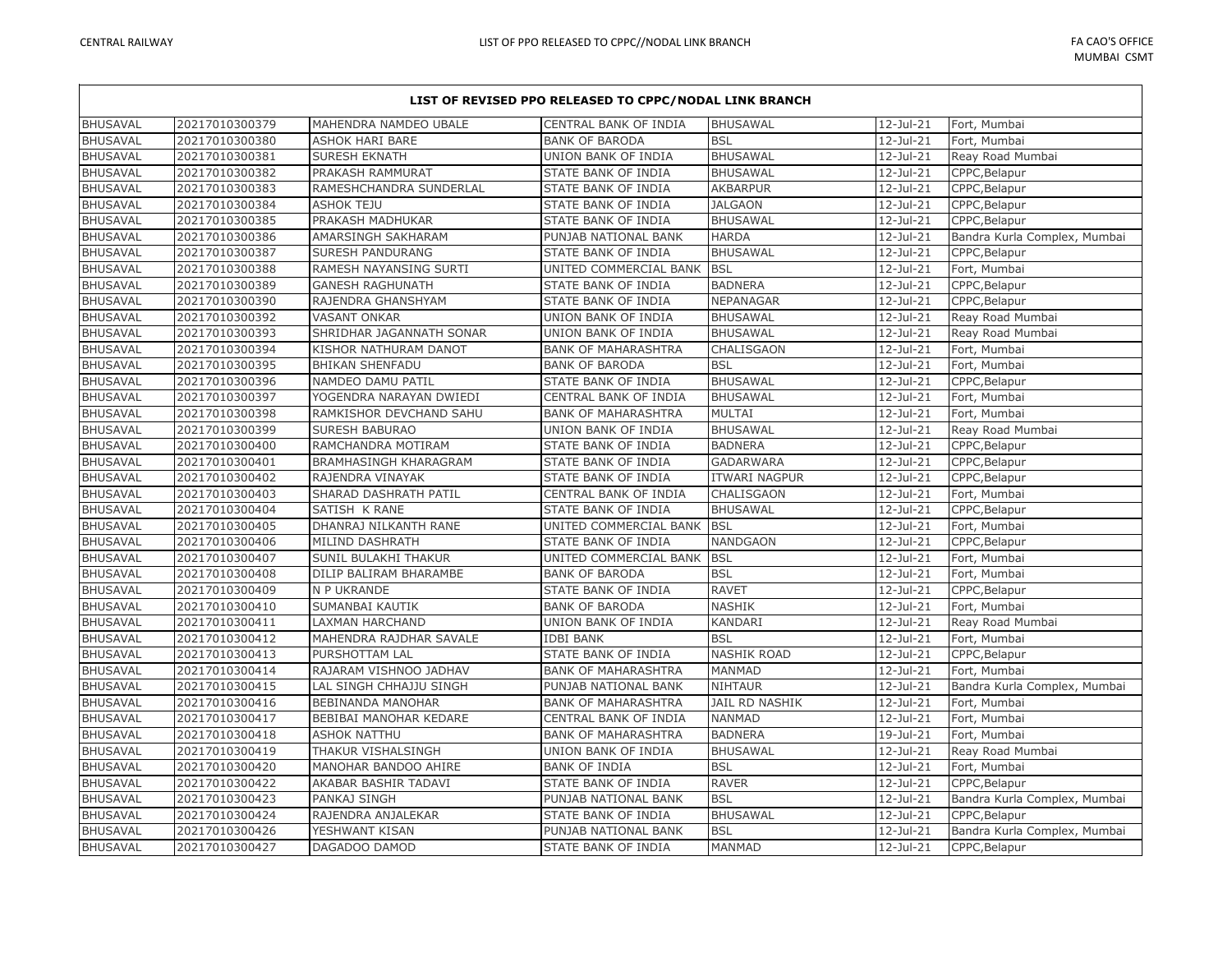## **LIST OF REVISED PPO RELEASED TO CPPC/NODAL LINK BRANCH** BHUSAVAL 20217010300379 MAHENDRA NAMDEO UBALE CENTRAL BANK OF INDIA BHUSAWAL 12-Jul-21 Fort, Mumbai BHUSAVAL 20217010300380 ASHOK HARI BARE BANK OF BARODA BSL 12-Jul-21 Fort, Mumbai BHUSAVAL 20217010300381 SURESH EKNATH UNION BANK OF INDIA BHUSAWAL 12-Jul-21 Reay Road Mumbai BHUSAVAL |20217010300382 |PRAKASH RAMMURAT | STATE BANK OF INDIA |BHUSAWAL | 12-Jul-21 |CPPC,Belapur BHUSAVAL 20217010300383 RAMESHCHANDRA SUNDERLAL STATE BANK OF INDIA AKBARPUR 12-Jul-21 CPPC, Belapur BHUSAVAL 20217010300384 ASHOK TEJU STATE BANK OF INDIA JALGAON | 12-Jul-21 CPPC, Belapur BHUSAVAL 20217010300385 PRAKASH MADHUKAR STATE BANK OF INDIA BHUSAWAL 12-Jul-21 CPPC,Belapur BHUSAVAL 20217010300386 AMARSINGH SAKHARAM PUNJAB NATIONAL BANK HARDA 12-Jul-21 Bandra Kurla Complex, Mumbai BHUSAVAL 20217010300387 SURESH PANDURANG STATE BANK OF INDIA BHUSAWAL 12-Jul-21 CPPC,Belapur BHUSAVAL 20217010300388 RAMESH NAYANSING SURTI UNITED COMMERCIAL BANK BSL 12-Jul-21 Fort, Mumbai BHUSAVAL 20217010300389 GANESH RAGHUNATH STATE BANK OF INDIA BADNERA | 12-Jul-21 CPPC,Belapur BHUSAVAL 20217010300390 RAJENDRA GHANSHYAM STATE BANK OF INDIA NEPANAGAR 21-Jul-21 CPPC,Belapur BHUSAVAL 20217010300392 VASANT ONKAR UNION BANK OF INDIA BHUSAWAL 12-Jul-21 Reay Road Mumbai BHUSAVAL 20217010300393 SHRIDHAR JAGANNATH SONAR UNION BANK OF INDIA BHUSAWAL 12-Jul-21 Reay Road Mumbai BHUSAVAL 20217010300394 KISHOR NATHURAM DANOT BANK OF MAHARASHTRA CHALISGAON 12-Jul-21 Fort, Mumbai BHUSAVAL 20217010300395 BHIKAN SHENFADU BANK OF BARODA BSL 12-Jul-21 Fort, Mumbai BHUSAVAL 20217010300396 NAMDEO DAMU PATIL STATE BANK OF INDIA BHUSAWAL 12-Jul-21 CPPC.Belapur BHUSAVAL 20217010300397 YOGENDRA NARAYAN DWIEDI CENTRAL BANK OF INDIA BHUSAWAL 12-Jul-21 Fort, Mumbai BHUSAVAL 20217010300398 RAMKISHOR DEVCHAND SAHU BANK OF MAHARASHTRA MULTAI 12-Jul-21 Fort, Mumbai BHUSAVAL 20217010300399 SURESH BABURAO VUNION BANK OF INDIA BHUSAWAL 12-Jul-21 Reay Road Mumbai BHUSAVAL 20217010300400 RAMCHANDRA MOTIRAM STATE BANK OF INDIA BADNERA 12-Jul-21 CPPC,Belapur BHUSAVAL 20217010300401 BRAMHASINGH KHARAGRAM STATE BANK OF INDIA GADARWARA 12-Jul-21 CPPC,Belapur BHUSAVAL 20217010300402 RAJENDRA VINAYAK STATE BANK OF INDIA ITWARI NAGPUR 12-Jul-21 CPPC,Belapur BHUSAVAL 20217010300403 SHARAD DASHRATH PATIL CENTRAL BANK OF INDIA CHALISGAON 12-Jul-21 Fort, Mumbai BHUSAVAL 20217010300404 SATISH K RANE STATE BANK OF INDIA BHUSAWAL 32-Jul-21 CPPC, Belapur BHUSAVAL 20217010300405 DHANRAJ NILKANTH RANE UNITED COMMERCIAL BANK BSL 12-Jul-21 Fort, Mumbai BHUSAVAL 20217010300406 MILIND DASHRATH STATE BANK OF INDIA NANDGAON 12-Jul-21 CPPC,Belapur BHUSAVAL 20217010300407 SUNIL BULAKHI THAKUR UNITED COMMERCIAL BANK BSL 12-Jul-21 Fort, Mumbai BHUSAVAL 20217010300408 DILIP BALIRAM BHARAMBE BANK OF BARODA BSL 12-Jul-21 Fort, Mumbai BHUSAVAL 20217010300409 N P UKRANDE STATE BANK OF INDIA RAVET 12-Jul-21 CPPC,Belapur BHUSAVAL |20217010300410 |SUMANBAI KAUTIK |BANK OF BARODA NASHIK |12-Jul-21 |Fort, Mumbai BHUSAVAL 20217010300411 LAXMAN HARCHAND UNION BANK OF INDIA KANDARI 12-Jul-21 Reay Road Mumbai BHUSAVAL 20217010300412 MAHENDRA RAJDHAR SAVALE IDBI BANK BSL BSL 12-Jul-21 Fort, Mumbai BHUSAVAL 20217010300413 PURSHOTTAM LAL STATE BANK OF INDIA NASHIK ROAD 12-Jul-21 CPPC,Belapur BHUSAVAL 20217010300414 RAJARAM VISHNOO JADHAV BANK OF MAHARASHTRA MANMAD 12-Jul-21 Fort, Mumbai BHUSAVAL 20217010300415 LAL SINGH CHHAJJU SINGH PUNJAB NATIONAL BANK NIHTAUR 12-Jul-21 Bandra Kurla Complex, Mumbai BHUSAVAL 20217010300416 BEBINANDA MANOHAR BANK OF MAHARASHTRA JAIL RD NASHIK | 12-Jul-21 Fort, Mumbai BHUSAVAL 20217010300417 BEBIBAI MANOHAR KEDARE CENTRAL BANK OF INDIA NANMAD 12-Jul-21 Fort, Mumbai BHUSAVAL 20217010300418 ASHOK NATTHU BANK OF MAHARASHTRA BADNERA 19-Jul-21 Fort, Mumbai BHUSAVAL 20217010300419 THAKUR VISHALSINGH UNION BANK OF INDIA BHUSAWAL 12-Jul-21 Reay Road Mumbai BHUSAVAL 20217010300420 MANOHAR BANDOO AHIRE BANK OF INDIA BSL 12-Jul-21 Fort, Mumbai BHUSAVAL 20217010300422 AKABAR BASHIR TADAVI STATE BANK OF INDIA RAVER 12-Jul-21 CPPC,Belapur BHUSAVAL 20217010300423 PANKAJ SINGH PUNJAB NATIONAL BANK BSL 12-Jul-21 Bandra Kurla Complex, Mumbai BHUSAVAL 20217010300424 RAJENDRA ANJALEKAR STATE BANK OF INDIA BHUSAWAL 12-Jul-21 CPPC,Belapur BHUSAVAL 20217010300426 YESHWANT KISAN PUNJAB NATIONAL BANK BSL 12-Jul-21 Bandra Kurla Complex, Mumbai BHUSAVAL 20217010300427 DAGADOO DAMOD STATE BANK OF INDIA MANMAD 21-Jul-21 CPPC,Belapur